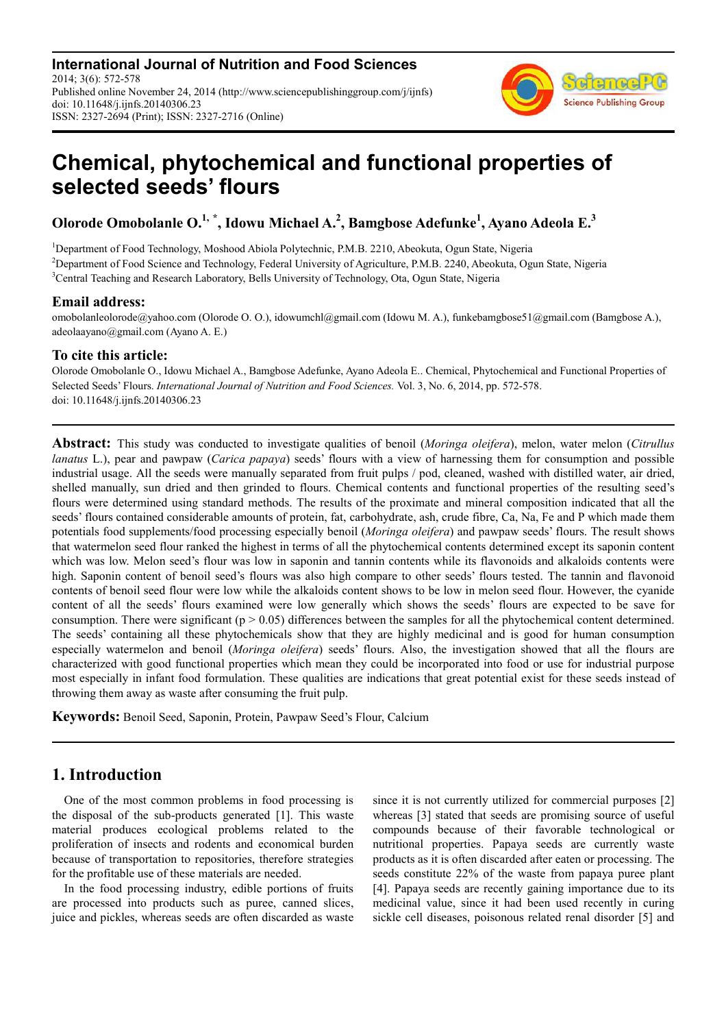**International Journal of Nutrition and Food Sciences** 2014; 3(6): 572-578 Published online November 24, 2014 (http://www.sciencepublishinggroup.com/j/ijnfs) doi: 10.11648/j.ijnfs.20140306.23 ISSN: 2327-2694 (Print); ISSN: 2327-2716 (Online)



# **Chemical, phytochemical and functional properties of selected seeds' flours**

**Olorode Omobolanle O.1, \* , Idowu Michael A.<sup>2</sup> , Bamgbose Adefunke<sup>1</sup> , Ayano Adeola E.<sup>3</sup>**

<sup>1</sup>Department of Food Technology, Moshood Abiola Polytechnic, P.M.B. 2210, Abeokuta, Ogun State, Nigeria <sup>2</sup>Department of Food Science and Technology, Federal University of Agriculture, P.M.B. 2240, Abeokuta, Ogun State, Nigeria <sup>3</sup>Central Teaching and Research Laboratory, Bells University of Technology, Ota, Ogun State, Nigeria

### **Email address:**

omobolanleolorode@yahoo.com (Olorode O. O.), idowumchl@gmail.com (Idowu M. A.), funkebamgbose51@gmail.com (Bamgbose A.), adeolaayano@gmail.com (Ayano A. E.)

## **To cite this article:**

Olorode Omobolanle O., Idowu Michael A., Bamgbose Adefunke, Ayano Adeola E.. Chemical, Phytochemical and Functional Properties of Selected Seeds' Flours. *International Journal of Nutrition and Food Sciences.* Vol. 3, No. 6, 2014, pp. 572-578. doi: 10.11648/j.ijnfs.20140306.23

**Abstract:** This study was conducted to investigate qualities of benoil (*Moringa oleifera*), melon, water melon (*Citrullus lanatus* L.), pear and pawpaw (*Carica papaya*) seeds' flours with a view of harnessing them for consumption and possible industrial usage. All the seeds were manually separated from fruit pulps / pod, cleaned, washed with distilled water, air dried, shelled manually, sun dried and then grinded to flours. Chemical contents and functional properties of the resulting seed's flours were determined using standard methods. The results of the proximate and mineral composition indicated that all the seeds' flours contained considerable amounts of protein, fat, carbohydrate, ash, crude fibre, Ca, Na, Fe and P which made them potentials food supplements/food processing especially benoil (*Moringa oleifera*) and pawpaw seeds' flours. The result shows that watermelon seed flour ranked the highest in terms of all the phytochemical contents determined except its saponin content which was low. Melon seed's flour was low in saponin and tannin contents while its flavonoids and alkaloids contents were high. Saponin content of benoil seed's flours was also high compare to other seeds' flours tested. The tannin and flavonoid contents of benoil seed flour were low while the alkaloids content shows to be low in melon seed flour. However, the cyanide content of all the seeds' flours examined were low generally which shows the seeds' flours are expected to be save for consumption. There were significant ( $p > 0.05$ ) differences between the samples for all the phytochemical content determined. The seeds' containing all these phytochemicals show that they are highly medicinal and is good for human consumption especially watermelon and benoil (*Moringa oleifera*) seeds' flours. Also, the investigation showed that all the flours are characterized with good functional properties which mean they could be incorporated into food or use for industrial purpose most especially in infant food formulation. These qualities are indications that great potential exist for these seeds instead of throwing them away as waste after consuming the fruit pulp.

**Keywords:** Benoil Seed, Saponin, Protein, Pawpaw Seed's Flour, Calcium

# **1. Introduction**

One of the most common problems in food processing is the disposal of the sub-products generated [1]. This waste material produces ecological problems related to the proliferation of insects and rodents and economical burden because of transportation to repositories, therefore strategies for the profitable use of these materials are needed.

In the food processing industry, edible portions of fruits are processed into products such as puree, canned slices, juice and pickles, whereas seeds are often discarded as waste since it is not currently utilized for commercial purposes [2] whereas [3] stated that seeds are promising source of useful compounds because of their favorable technological or nutritional properties. Papaya seeds are currently waste products as it is often discarded after eaten or processing. The seeds constitute 22% of the waste from papaya puree plant [4]. Papaya seeds are recently gaining importance due to its medicinal value, since it had been used recently in curing sickle cell diseases, poisonous related renal disorder [5] and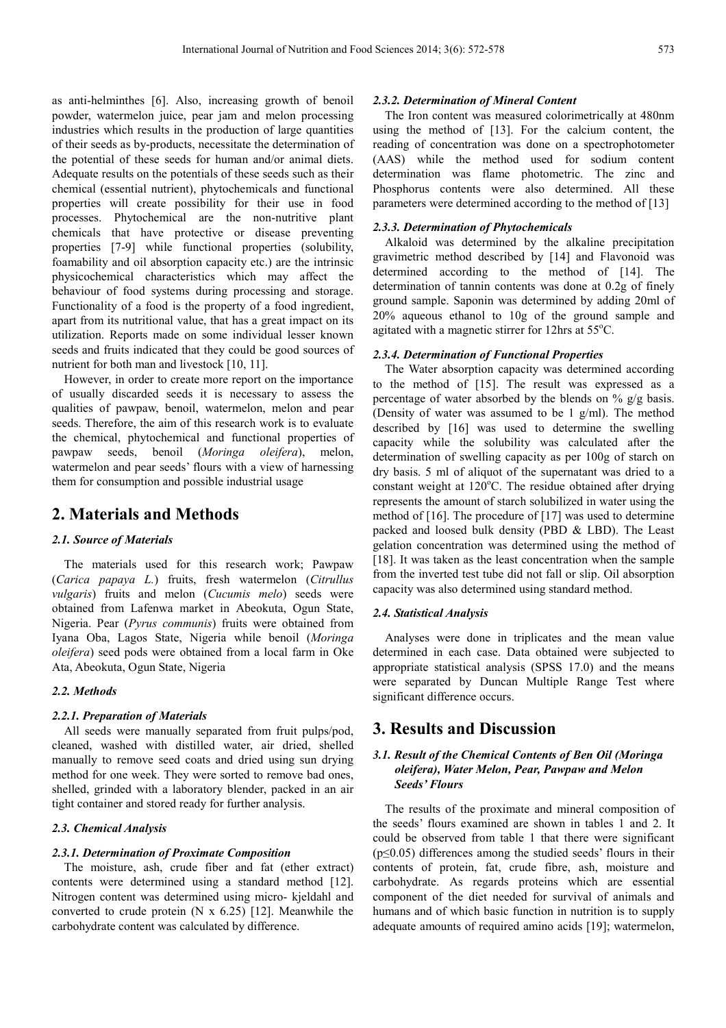as anti-helminthes [6]. Also, increasing growth of benoil powder, watermelon juice, pear jam and melon processing industries which results in the production of large quantities of their seeds as by-products, necessitate the determination of the potential of these seeds for human and/or animal diets. Adequate results on the potentials of these seeds such as their chemical (essential nutrient), phytochemicals and functional properties will create possibility for their use in food processes. Phytochemical are the non-nutritive plant chemicals that have protective or disease preventing properties [7-9] while functional properties (solubility, foamability and oil absorption capacity etc.) are the intrinsic physicochemical characteristics which may affect the behaviour of food systems during processing and storage. Functionality of a food is the property of a food ingredient, apart from its nutritional value, that has a great impact on its utilization. Reports made on some individual lesser known seeds and fruits indicated that they could be good sources of nutrient for both man and livestock [10, 11].

However, in order to create more report on the importance of usually discarded seeds it is necessary to assess the qualities of pawpaw, benoil, watermelon, melon and pear seeds. Therefore, the aim of this research work is to evaluate the chemical, phytochemical and functional properties of pawpaw seeds, benoil (*Moringa oleifera*), melon, watermelon and pear seeds' flours with a view of harnessing them for consumption and possible industrial usage

## **2. Materials and Methods**

#### *2.1. Source of Materials*

The materials used for this research work; Pawpaw (*Carica papaya L.*) fruits, fresh watermelon (*Citrullus vulgaris*) fruits and melon (*Cucumis melo*) seeds were obtained from Lafenwa market in Abeokuta, Ogun State, Nigeria. Pear (*Pyrus communis*) fruits were obtained from Iyana Oba, Lagos State, Nigeria while benoil (*Moringa oleifera*) seed pods were obtained from a local farm in Oke Ata, Abeokuta, Ogun State, Nigeria

#### *2.2. Methods*

#### *2.2.1. Preparation of Materials*

All seeds were manually separated from fruit pulps/pod, cleaned, washed with distilled water, air dried, shelled manually to remove seed coats and dried using sun drying method for one week. They were sorted to remove bad ones, shelled, grinded with a laboratory blender, packed in an air tight container and stored ready for further analysis.

#### *2.3. Chemical Analysis*

#### *2.3.1. Determination of Proximate Composition*

The moisture, ash, crude fiber and fat (ether extract) contents were determined using a standard method [12]. Nitrogen content was determined using micro- kjeldahl and converted to crude protein (N x 6.25) [12]. Meanwhile the carbohydrate content was calculated by difference.

#### *2.3.2. Determination of Mineral Content*

The Iron content was measured colorimetrically at 480nm using the method of [13]. For the calcium content, the reading of concentration was done on a spectrophotometer (AAS) while the method used for sodium content determination was flame photometric. The zinc and Phosphorus contents were also determined. All these parameters were determined according to the method of [13]

#### *2.3.3. Determination of Phytochemicals*

Alkaloid was determined by the alkaline precipitation gravimetric method described by [14] and Flavonoid was determined according to the method of [14]. The determination of tannin contents was done at 0.2g of finely ground sample. Saponin was determined by adding 20ml of 20% aqueous ethanol to 10g of the ground sample and agitated with a magnetic stirrer for 12hrs at 55°C.

#### *2.3.4. Determination of Functional Properties*

The Water absorption capacity was determined according to the method of [15]. The result was expressed as a percentage of water absorbed by the blends on % g/g basis. (Density of water was assumed to be 1 g/ml). The method described by [16] was used to determine the swelling capacity while the solubility was calculated after the determination of swelling capacity as per 100g of starch on dry basis. 5 ml of aliquot of the supernatant was dried to a constant weight at 120°C. The residue obtained after drying represents the amount of starch solubilized in water using the method of [16]. The procedure of [17] was used to determine packed and loosed bulk density (PBD & LBD). The Least gelation concentration was determined using the method of [18]. It was taken as the least concentration when the sample from the inverted test tube did not fall or slip. Oil absorption capacity was also determined using standard method.

#### *2.4. Statistical Analysis*

Analyses were done in triplicates and the mean value determined in each case. Data obtained were subjected to appropriate statistical analysis (SPSS 17.0) and the means were separated by Duncan Multiple Range Test where significant difference occurs.

## **3. Results and Discussion**

#### *3.1. Result of the Chemical Contents of Ben Oil (Moringa oleifera), Water Melon, Pear, Pawpaw and Melon Seeds' Flours*

The results of the proximate and mineral composition of the seeds' flours examined are shown in tables 1 and 2. It could be observed from table 1 that there were significant (p≤0.05) differences among the studied seeds' flours in their contents of protein, fat, crude fibre, ash, moisture and carbohydrate. As regards proteins which are essential component of the diet needed for survival of animals and humans and of which basic function in nutrition is to supply adequate amounts of required amino acids [19]; watermelon,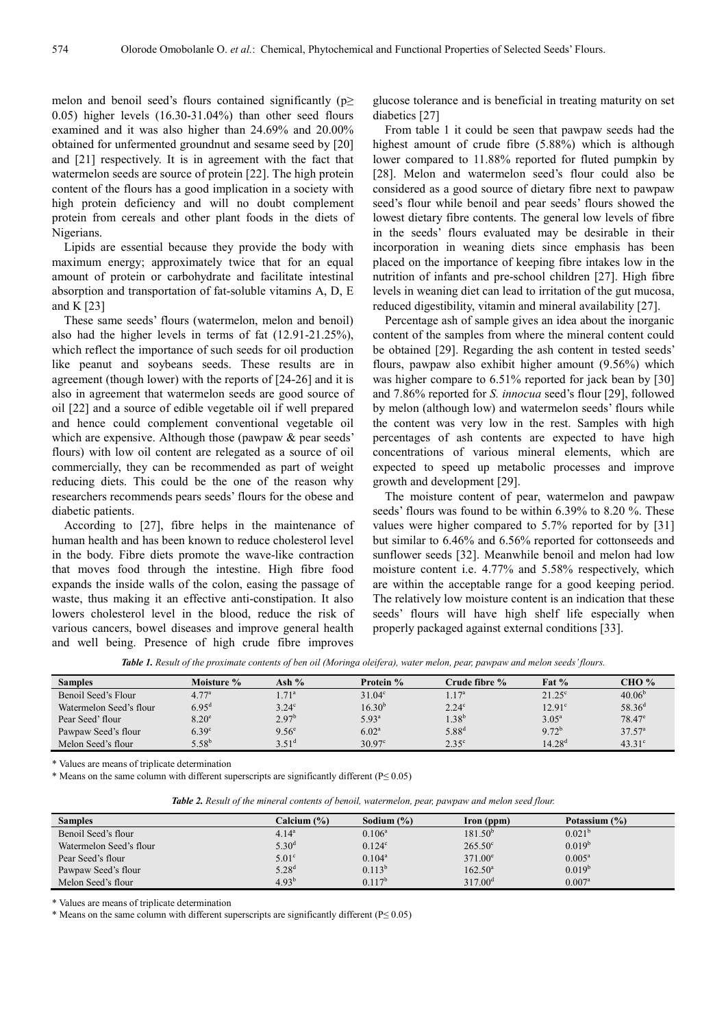melon and benoil seed's flours contained significantly ( $p \geq$ 0.05) higher levels (16.30-31.04%) than other seed flours examined and it was also higher than 24.69% and 20.00% obtained for unfermented groundnut and sesame seed by [20] and [21] respectively. It is in agreement with the fact that watermelon seeds are source of protein [22]. The high protein content of the flours has a good implication in a society with high protein deficiency and will no doubt complement protein from cereals and other plant foods in the diets of Nigerians.

Lipids are essential because they provide the body with maximum energy; approximately twice that for an equal amount of protein or carbohydrate and facilitate intestinal absorption and transportation of fat-soluble vitamins A, D, E and K [23]

These same seeds' flours (watermelon, melon and benoil) also had the higher levels in terms of fat (12.91-21.25%), which reflect the importance of such seeds for oil production like peanut and soybeans seeds. These results are in agreement (though lower) with the reports of [24-26] and it is also in agreement that watermelon seeds are good source of oil [22] and a source of edible vegetable oil if well prepared and hence could complement conventional vegetable oil which are expensive. Although those (pawpaw & pear seeds' flours) with low oil content are relegated as a source of oil commercially, they can be recommended as part of weight reducing diets. This could be the one of the reason why researchers recommends pears seeds' flours for the obese and diabetic patients.

According to [27], fibre helps in the maintenance of human health and has been known to reduce cholesterol level in the body. Fibre diets promote the wave-like contraction that moves food through the intestine. High fibre food expands the inside walls of the colon, easing the passage of waste, thus making it an effective anti-constipation. It also lowers cholesterol level in the blood, reduce the risk of various cancers, bowel diseases and improve general health and well being. Presence of high crude fibre improves

glucose tolerance and is beneficial in treating maturity on set diabetics [27]

From table 1 it could be seen that pawpaw seeds had the highest amount of crude fibre (5.88%) which is although lower compared to 11.88% reported for fluted pumpkin by [28]. Melon and watermelon seed's flour could also be considered as a good source of dietary fibre next to pawpaw seed's flour while benoil and pear seeds' flours showed the lowest dietary fibre contents. The general low levels of fibre in the seeds' flours evaluated may be desirable in their incorporation in weaning diets since emphasis has been placed on the importance of keeping fibre intakes low in the nutrition of infants and pre-school children [27]. High fibre levels in weaning diet can lead to irritation of the gut mucosa, reduced digestibility, vitamin and mineral availability [27].

Percentage ash of sample gives an idea about the inorganic content of the samples from where the mineral content could be obtained [29]. Regarding the ash content in tested seeds' flours, pawpaw also exhibit higher amount (9.56%) which was higher compare to 6.51% reported for jack bean by [30] and 7.86% reported for *S. innocua* seed's flour [29], followed by melon (although low) and watermelon seeds' flours while the content was very low in the rest. Samples with high percentages of ash contents are expected to have high concentrations of various mineral elements, which are expected to speed up metabolic processes and improve growth and development [29].

The moisture content of pear, watermelon and pawpaw seeds' flours was found to be within 6.39% to 8.20 %. These values were higher compared to 5.7% reported for by [31] but similar to 6.46% and 6.56% reported for cottonseeds and sunflower seeds [32]. Meanwhile benoil and melon had low moisture content i.e. 4.77% and 5.58% respectively, which are within the acceptable range for a good keeping period. The relatively low moisture content is an indication that these seeds' flours will have high shelf life especially when properly packaged against external conditions [33].

*Table 1. Result of the proximate contents of ben oil (Moringa oleifera), water melon, pear, pawpaw and melon seeds' flours.* 

|                         |                   |                   | $\sim$             |                   |                 |                    |
|-------------------------|-------------------|-------------------|--------------------|-------------------|-----------------|--------------------|
| <b>Samples</b>          | Moisture %        | Ash %             | Protein %          | Crude fibre %     | Fat $%$         | CHO %              |
| Benoil Seed's Flour     | 4.77 <sup>a</sup> | 1.71 <sup>a</sup> | 31.04 <sup>c</sup> | $1.17^{\rm a}$    | $21.25^{\circ}$ | 40.06 <sup>b</sup> |
| Watermelon Seed's flour | $6.95^{d}$        | 3.24 <sup>c</sup> | $16.30^{b}$        | 2.24 <sup>c</sup> | $12.91^{\circ}$ | $58.36^{d}$        |
| Pear Seed' flour        | $8.20^\circ$      | $2.97^{b}$        | $5.93^{a}$         | $1.38^{\rm b}$    | $3.05^{\rm a}$  | $78.47^{\circ}$    |
| Pawpaw Seed's flour     | 6.39 <sup>c</sup> | 9.56 <sup>e</sup> | 6.02 <sup>a</sup>  | $5.88^{d}$        | $9.72^{b}$      | $37.57^{\circ}$    |
| Melon Seed's flour      | $5.58^{b}$        | $3.51^d$          | $30.97^{\circ}$    | $2.35^{\circ}$    | $14.28^{d}$     | $43.31^{\circ}$    |

\* Values are means of triplicate determination

\* Means on the same column with different superscripts are significantly different (P≤ 0.05)

*Table 2. Result of the mineral contents of benoil, watermelon, pear, pawpaw and melon seed flour.* 

| <b>Samples</b>          | Calcium (%)       | Sodium $(\% )$ | Iron (ppm)          | Potassium (%)      |
|-------------------------|-------------------|----------------|---------------------|--------------------|
| Benoil Seed's flour     | $4.14^a$          | $0.106^a$      | 181.50 <sup>b</sup> | 0.021 <sup>b</sup> |
| Watermelon Seed's flour | $5.30^{d}$        | $0.124^c$      | $265.50^{\circ}$    | $0.019^{b}$        |
| Pear Seed's flour       | 5.01 <sup>c</sup> | $0.104^a$      | $371.00^{\circ}$    | $0.005^a$          |
| Pawpaw Seed's flour     | $5.28^{d}$        | $0.113^{b}$    | $162.50^a$          | $0.019^{b}$        |
| Melon Seed's flour      | $4.93^{b}$        | $0.117^{b}$    | $317.00^{\rm d}$    | 0.007 <sup>a</sup> |

\* Values are means of triplicate determination

\* Means on the same column with different superscripts are significantly different (P≤ 0.05)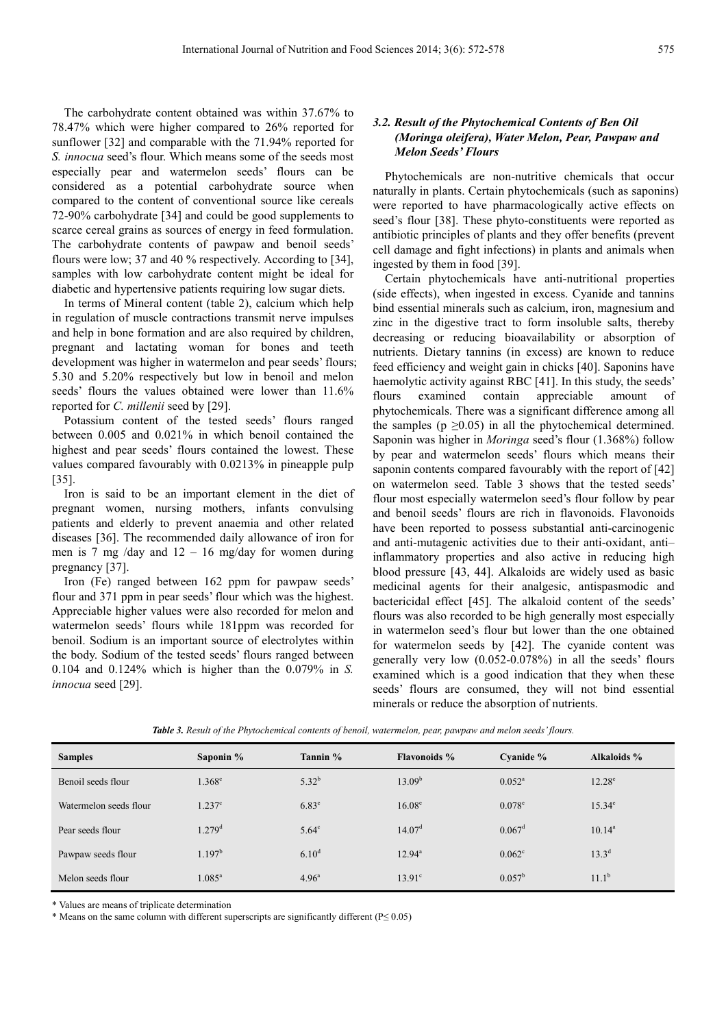The carbohydrate content obtained was within 37.67% to 78.47% which were higher compared to 26% reported for sunflower [32] and comparable with the 71.94% reported for *S. innocua* seed's flour. Which means some of the seeds most especially pear and watermelon seeds' flours can be considered as a potential carbohydrate source when compared to the content of conventional source like cereals 72-90% carbohydrate [34] and could be good supplements to scarce cereal grains as sources of energy in feed formulation. The carbohydrate contents of pawpaw and benoil seeds' flours were low; 37 and 40 % respectively. According to [34], samples with low carbohydrate content might be ideal for diabetic and hypertensive patients requiring low sugar diets.

In terms of Mineral content (table 2), calcium which help in regulation of muscle contractions transmit nerve impulses and help in bone formation and are also required by children, pregnant and lactating woman for bones and teeth development was higher in watermelon and pear seeds' flours; 5.30 and 5.20% respectively but low in benoil and melon seeds' flours the values obtained were lower than 11.6% reported for *C. millenii* seed by [29].

Potassium content of the tested seeds' flours ranged between 0.005 and 0.021% in which benoil contained the highest and pear seeds' flours contained the lowest. These values compared favourably with 0.0213% in pineapple pulp [35].

Iron is said to be an important element in the diet of pregnant women, nursing mothers, infants convulsing patients and elderly to prevent anaemia and other related diseases [36]. The recommended daily allowance of iron for men is 7 mg /day and 12 – 16 mg/day for women during pregnancy [37].

Iron (Fe) ranged between 162 ppm for pawpaw seeds' flour and 371 ppm in pear seeds' flour which was the highest. Appreciable higher values were also recorded for melon and watermelon seeds' flours while 181ppm was recorded for benoil. Sodium is an important source of electrolytes within the body. Sodium of the tested seeds' flours ranged between 0.104 and 0.124% which is higher than the 0.079% in *S. innocua* seed [29].

#### *3.2. Result of the Phytochemical Contents of Ben Oil (Moringa oleifera), Water Melon, Pear, Pawpaw and Melon Seeds' Flours*

Phytochemicals are non-nutritive chemicals that occur naturally in plants. Certain phytochemicals (such as saponins) were reported to have pharmacologically active effects on seed's flour [38]. These phyto-constituents were reported as antibiotic principles of plants and they offer benefits (prevent cell damage and fight infections) in plants and animals when ingested by them in food [39].

Certain phytochemicals have anti-nutritional properties (side effects), when ingested in excess. Cyanide and tannins bind essential minerals such as calcium, iron, magnesium and zinc in the digestive tract to form insoluble salts, thereby decreasing or reducing bioavailability or absorption of nutrients. Dietary tannins (in excess) are known to reduce feed efficiency and weight gain in chicks [40]. Saponins have haemolytic activity against RBC [41]. In this study, the seeds' flours examined contain appreciable amount of phytochemicals. There was a significant difference among all the samples ( $p \ge 0.05$ ) in all the phytochemical determined. Saponin was higher in *Moringa* seed's flour (1.368%) follow by pear and watermelon seeds' flours which means their saponin contents compared favourably with the report of [42] on watermelon seed. Table 3 shows that the tested seeds' flour most especially watermelon seed's flour follow by pear and benoil seeds' flours are rich in flavonoids. Flavonoids have been reported to possess substantial anti-carcinogenic and anti-mutagenic activities due to their anti-oxidant, anti– inflammatory properties and also active in reducing high blood pressure [43, 44]. Alkaloids are widely used as basic medicinal agents for their analgesic, antispasmodic and bactericidal effect [45]. The alkaloid content of the seeds' flours was also recorded to be high generally most especially in watermelon seed's flour but lower than the one obtained for watermelon seeds by [42]. The cyanide content was generally very low (0.052-0.078%) in all the seeds' flours examined which is a good indication that they when these seeds' flours are consumed, they will not bind essential minerals or reduce the absorption of nutrients.

| <b>Samples</b>         | Saponin %            | Tannin %          | <b>Flavonoids</b> % | Cyanide $%$     | Alkaloids %    |
|------------------------|----------------------|-------------------|---------------------|-----------------|----------------|
| Benoil seeds flour     | $1.368^{\circ}$      | $5.32^{b}$        | $13.09^{b}$         | $0.052^{\rm a}$ | $12.28^e$      |
| Watermelon seeds flour | $1.237^{\circ}$      | $6.83^e$          | $16.08^{\circ}$     | $0.078^{\circ}$ | $15.34^e$      |
| Pear seeds flour       | $1.279$ <sup>d</sup> | $5.64^{\circ}$    | 14.07 <sup>d</sup>  | $0.067^d$       | $10.14^a$      |
| Pawpaw seeds flour     | 1.197 <sup>b</sup>   | $6.10^{d}$        | $12.94^{\circ}$     | $0.062^{\circ}$ | $13.3^{d}$     |
| Melon seeds flour      | $1.085^a$            | 4.96 <sup>a</sup> | $13.91^{\circ}$     | $0.057^{\rm b}$ | $11.1^{\rm b}$ |

*Table 3. Result of the Phytochemical contents of benoil, watermelon, pear, pawpaw and melon seeds' flours.* 

\* Values are means of triplicate determination

\* Means on the same column with different superscripts are significantly different (P≤ 0.05)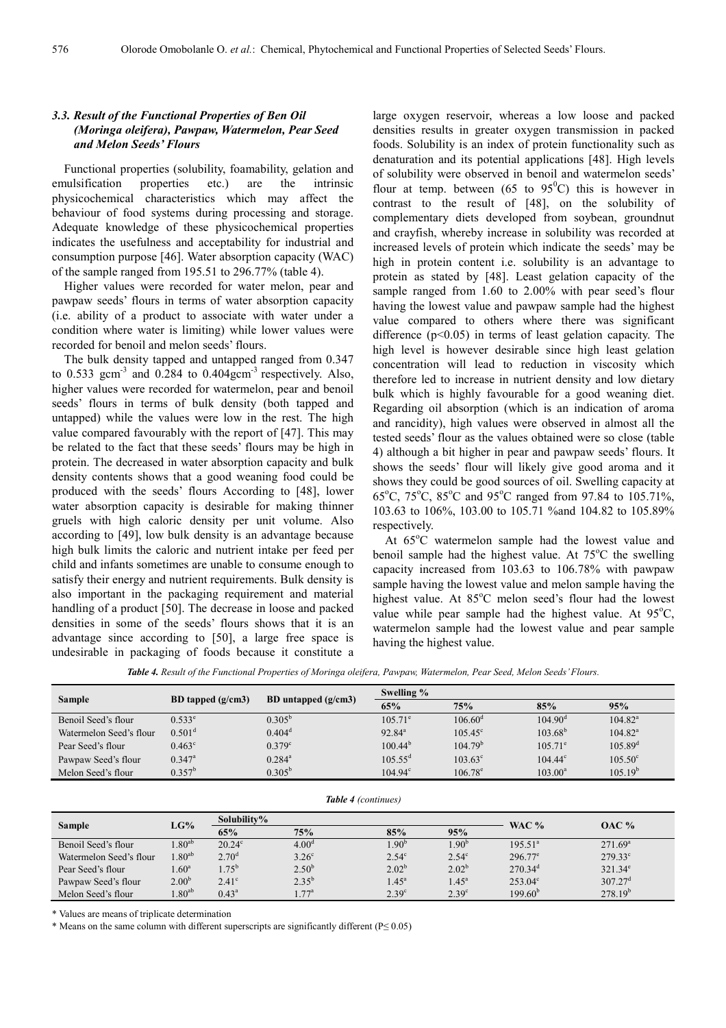#### *3.3. Result of the Functional Properties of Ben Oil (Moringa oleifera), Pawpaw, Watermelon, Pear Seed and Melon Seeds' Flours*

Functional properties (solubility, foamability, gelation and emulsification properties etc.) are the intrinsic physicochemical characteristics which may affect the behaviour of food systems during processing and storage. Adequate knowledge of these physicochemical properties indicates the usefulness and acceptability for industrial and consumption purpose [46]. Water absorption capacity (WAC) of the sample ranged from 195.51 to 296.77% (table 4).

Higher values were recorded for water melon, pear and pawpaw seeds' flours in terms of water absorption capacity (i.e. ability of a product to associate with water under a condition where water is limiting) while lower values were recorded for benoil and melon seeds' flours.

The bulk density tapped and untapped ranged from 0.347 to  $0.533$  gcm<sup>-3</sup> and  $0.284$  to  $0.404$ gcm<sup>-3</sup> respectively. Also, higher values were recorded for watermelon, pear and benoil seeds' flours in terms of bulk density (both tapped and untapped) while the values were low in the rest. The high value compared favourably with the report of [47]. This may be related to the fact that these seeds' flours may be high in protein. The decreased in water absorption capacity and bulk density contents shows that a good weaning food could be produced with the seeds' flours According to [48], lower water absorption capacity is desirable for making thinner gruels with high caloric density per unit volume. Also according to [49], low bulk density is an advantage because high bulk limits the caloric and nutrient intake per feed per child and infants sometimes are unable to consume enough to satisfy their energy and nutrient requirements. Bulk density is also important in the packaging requirement and material handling of a product [50]. The decrease in loose and packed densities in some of the seeds' flours shows that it is an advantage since according to [50], a large free space is undesirable in packaging of foods because it constitute a

large oxygen reservoir, whereas a low loose and packed densities results in greater oxygen transmission in packed foods. Solubility is an index of protein functionality such as denaturation and its potential applications [48]. High levels of solubility were observed in benoil and watermelon seeds' flour at temp. between (65 to  $95^{\circ}$ C) this is however in contrast to the result of [48], on the solubility of complementary diets developed from soybean, groundnut and crayfish, whereby increase in solubility was recorded at increased levels of protein which indicate the seeds' may be high in protein content i.e. solubility is an advantage to protein as stated by [48]. Least gelation capacity of the sample ranged from 1.60 to 2.00% with pear seed's flour having the lowest value and pawpaw sample had the highest value compared to others where there was significant difference (p<0.05) in terms of least gelation capacity. The high level is however desirable since high least gelation concentration will lead to reduction in viscosity which therefore led to increase in nutrient density and low dietary bulk which is highly favourable for a good weaning diet. Regarding oil absorption (which is an indication of aroma and rancidity), high values were observed in almost all the tested seeds' flour as the values obtained were so close (table 4) although a bit higher in pear and pawpaw seeds' flours. It shows the seeds' flour will likely give good aroma and it shows they could be good sources of oil. Swelling capacity at 65°C, 75°C, 85°C and 95°C ranged from 97.84 to 105.71%, 103.63 to 106%, 103.00 to 105.71 %and 104.82 to 105.89% respectively.

At  $65^{\circ}$ C watermelon sample had the lowest value and benoil sample had the highest value. At  $75^{\circ}$ C the swelling capacity increased from 103.63 to 106.78% with pawpaw sample having the lowest value and melon sample having the highest value. At  $85^{\circ}$ C melon seed's flour had the lowest value while pear sample had the highest value. At  $95^{\circ}$ C, watermelon sample had the lowest value and pear sample having the highest value.

*Table 4. Result of the Functional Properties of Moringa oleifera, Pawpaw, Watermelon, Pear Seed, Melon Seeds' Flours.* 

| Sample                  | BD tapped $(g/cm3)$ | BD untapped $(g/cm3)$ | Swelling %          |                     |                  |                  |  |
|-------------------------|---------------------|-----------------------|---------------------|---------------------|------------------|------------------|--|
|                         |                     |                       | 65%                 | 75%                 | 85%              | 95%              |  |
| Benoil Seed's flour     | $0.533^e$           | $0.305^{b}$           | $105.71^{\circ}$    | $106.60^{\rm d}$    | $104.90^{\rm d}$ | $104.82^a$       |  |
| Watermelon Seed's flour | 0.501 <sup>d</sup>  | $0.404^d$             | $92.84^a$           | $105.45^{\circ}$    | $103.68^{b}$     | $104.82^a$       |  |
| Pear Seed's flour       | $0.463^{\circ}$     | $0.379$ <sup>c</sup>  | $100.44^{b}$        | 104.79 <sup>b</sup> | $105.71^{\circ}$ | $105.89^{d}$     |  |
| Pawpaw Seed's flour     | $0.347^{\text{a}}$  | $0.284^{\text{a}}$    | $105.55^{\text{d}}$ | $103.63^{\circ}$    | $104.44^{\circ}$ | $105.50^{\circ}$ |  |
| Melon Seed's flour      | $0.357^b$           | $0.305^{b}$           | $104.94^{\circ}$    | $106.78^{\circ}$    | $103.00^a$       | $105.19^{b}$     |  |
|                         |                     |                       |                     |                     |                  |                  |  |

*Table 4 (continues)*

| Sample                  | LG%               |                   | Solubility%       |                   |                   |                       |                  |  |
|-------------------------|-------------------|-------------------|-------------------|-------------------|-------------------|-----------------------|------------------|--|
|                         |                   | 65%               | 75%               | 85%               | 95%               | WAC $%$               | <b>OAC</b> %     |  |
| Benoil Seed's flour     | $1.80^{ab}$       | $20.24^{\circ}$   | 4.00 <sup>d</sup> | $1.90^{\circ}$    | $1.90^b$          | $195.51^a$            | $271.69^{\circ}$ |  |
| Watermelon Seed's flour | $1.80^{ab}$       | 2.70 <sup>d</sup> | 3.26 <sup>c</sup> | $2.54^{\circ}$    | $2.54^\circ$      | $296.77^{\circ}$      | $279.33^{\circ}$ |  |
| Pear Seed's flour       | 1.60 <sup>a</sup> | $1.75^{\rm b}$    | $2.50^{b}$        | $2.02^{b}$        | $2.02^{b}$        | $270.34$ <sup>d</sup> | $321.34^e$       |  |
| Pawpaw Seed's flour     | 2.00 <sup>b</sup> | $2.41^\circ$      | $2.35^{b}$        | $1.45^{\circ}$    | $1.45^{\circ}$    | $253.04^{\circ}$      | $307.27^{\rm d}$ |  |
| Melon Seed's flour      | $.80^{ab}$        | $0.43^a$          | $1.77^{\rm a}$    | 2.39 <sup>c</sup> | 2.39 <sup>c</sup> | $199.60^{b}$          | $278.19^{b}$     |  |

\* Values are means of triplicate determination

\* Means on the same column with different superscripts are significantly different (P≤ 0.05)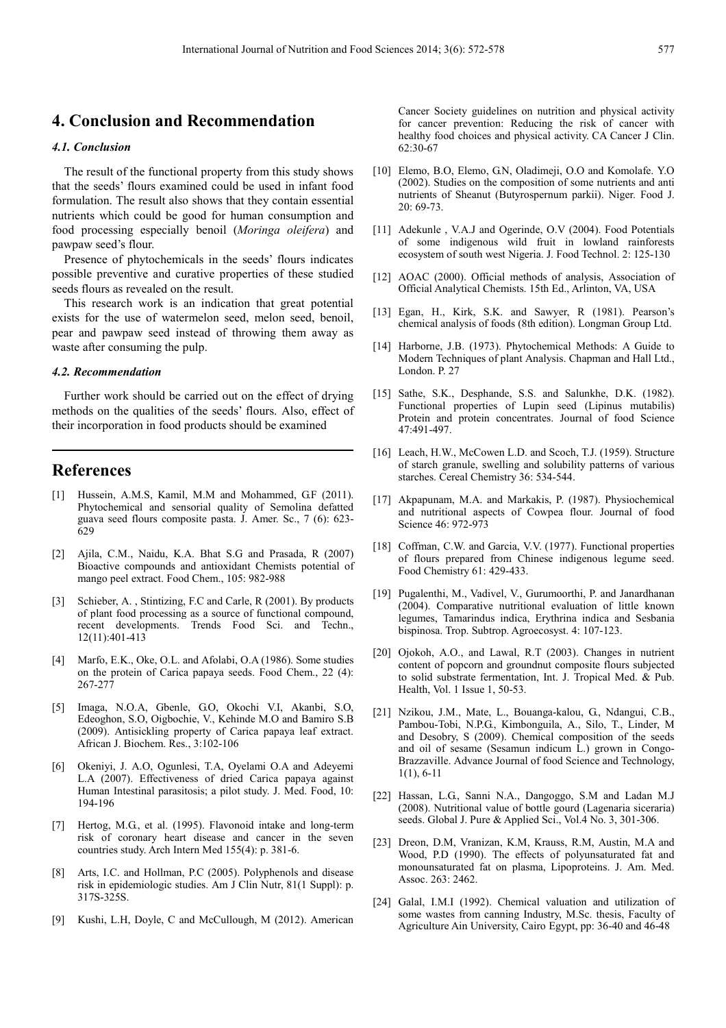## **4. Conclusion and Recommendation**

#### *4.1. Conclusion*

The result of the functional property from this study shows that the seeds' flours examined could be used in infant food formulation. The result also shows that they contain essential nutrients which could be good for human consumption and food processing especially benoil (*Moringa oleifera*) and pawpaw seed's flour.

Presence of phytochemicals in the seeds' flours indicates possible preventive and curative properties of these studied seeds flours as revealed on the result.

This research work is an indication that great potential exists for the use of watermelon seed, melon seed, benoil, pear and pawpaw seed instead of throwing them away as waste after consuming the pulp.

#### *4.2. Recommendation*

Further work should be carried out on the effect of drying methods on the qualities of the seeds' flours. Also, effect of their incorporation in food products should be examined

## **References**

- [1] Hussein, A.M.S, Kamil, M.M and Mohammed, G.F (2011). Phytochemical and sensorial quality of Semolina defatted guava seed flours composite pasta. J. Amer. Sc., 7 (6): 623- 629
- [2] Ajila, C.M., Naidu, K.A. Bhat S.G and Prasada, R (2007) Bioactive compounds and antioxidant Chemists potential of mango peel extract. Food Chem., 105: 982-988
- [3] Schieber, A., Stintizing, F.C and Carle, R (2001). By products of plant food processing as a source of functional compound, recent developments. Trends Food Sci. and Techn., 12(11):401-413
- [4] Marfo, E.K., Oke, O.L. and Afolabi, O.A (1986). Some studies on the protein of Carica papaya seeds. Food Chem., 22 (4): 267-277
- [5] Imaga, N.O.A, Gbenle, G.O, Okochi V.I, Akanbi, S.O, Edeoghon, S.O, Oigbochie, V., Kehinde M.O and Bamiro S.B (2009). Antisickling property of Carica papaya leaf extract. African J. Biochem. Res., 3:102-106
- [6] Okeniyi, J. A.O, Ogunlesi, T.A, Oyelami O.A and Adeyemi L.A (2007). Effectiveness of dried Carica papaya against Human Intestinal parasitosis; a pilot study. J. Med. Food, 10: 194-196
- [7] Hertog, M.G., et al. (1995). Flavonoid intake and long-term risk of coronary heart disease and cancer in the seven countries study. Arch Intern Med 155(4): p. 381-6.
- [8] Arts, I.C. and Hollman, P.C (2005). Polyphenols and disease risk in epidemiologic studies. Am J Clin Nutr, 81(1 Suppl): p. 317S-325S.
- [9] Kushi, L.H, Doyle, C and McCullough, M (2012). American

Cancer Society guidelines on nutrition and physical activity for cancer prevention: Reducing the risk of cancer with healthy food choices and physical activity. CA Cancer J Clin. 62:30-67

- [10] Elemo, B.O, Elemo, G.N, Oladimeji, O.O and Komolafe. Y.O. (2002). Studies on the composition of some nutrients and anti nutrients of Sheanut (Butyrospernum parkii). Niger. Food J. 20: 69-73.
- [11] Adekunle, V.A.J and Ogerinde, O.V (2004). Food Potentials of some indigenous wild fruit in lowland rainforests ecosystem of south west Nigeria. J. Food Technol. 2: 125-130
- [12] AOAC (2000). Official methods of analysis, Association of Official Analytical Chemists. 15th Ed., Arlinton, VA, USA
- [13] Egan, H., Kirk, S.K. and Sawyer, R (1981). Pearson's chemical analysis of foods (8th edition). Longman Group Ltd.
- [14] Harborne, J.B. (1973). Phytochemical Methods: A Guide to Modern Techniques of plant Analysis. Chapman and Hall Ltd., London. P. 27
- [15] Sathe, S.K., Desphande, S.S. and Salunkhe, D.K. (1982). Functional properties of Lupin seed (Lipinus mutabilis) Protein and protein concentrates. Journal of food Science 47:491-497.
- [16] Leach, H.W., McCowen L.D. and Scoch, T.J. (1959). Structure of starch granule, swelling and solubility patterns of various starches. Cereal Chemistry 36: 534-544.
- [17] Akpapunam, M.A. and Markakis, P. (1987). Physiochemical and nutritional aspects of Cowpea flour. Journal of food Science 46: 972-973
- [18] Coffman, C.W. and Garcia, V.V. (1977). Functional properties of flours prepared from Chinese indigenous legume seed. Food Chemistry 61: 429-433.
- [19] Pugalenthi, M., Vadivel, V., Gurumoorthi, P. and Janardhanan (2004). Comparative nutritional evaluation of little known legumes, Tamarindus indica, Erythrina indica and Sesbania bispinosa. Trop. Subtrop. Agroecosyst. 4: 107-123.
- [20] Ojokoh, A.O., and Lawal, R.T (2003). Changes in nutrient content of popcorn and groundnut composite flours subjected to solid substrate fermentation, Int. J. Tropical Med. & Pub. Health, Vol. 1 Issue 1, 50-53.
- [21] Nzikou, J.M., Mate, L., Bouanga-kalou, G., Ndangui, C.B., Pambou-Tobi, N.P.G., Kimbonguila, A., Silo, T., Linder, M and Desobry, S (2009). Chemical composition of the seeds and oil of sesame (Sesamun indicum L.) grown in Congo-Brazzaville. Advance Journal of food Science and Technology, 1(1), 6-11
- [22] Hassan, L.G., Sanni N.A., Dangoggo, S.M and Ladan M.J (2008). Nutritional value of bottle gourd (Lagenaria siceraria) seeds. Global J. Pure & Applied Sci., Vol.4 No. 3, 301-306.
- [23] Dreon, D.M, Vranizan, K.M, Krauss, R.M, Austin, M.A and Wood, P.D (1990). The effects of polyunsaturated fat and monounsaturated fat on plasma, Lipoproteins. J. Am. Med. Assoc. 263: 2462.
- [24] Galal, I.M.I (1992). Chemical valuation and utilization of some wastes from canning Industry, M.Sc. thesis, Faculty of Agriculture Ain University, Cairo Egypt, pp: 36-40 and 46-48